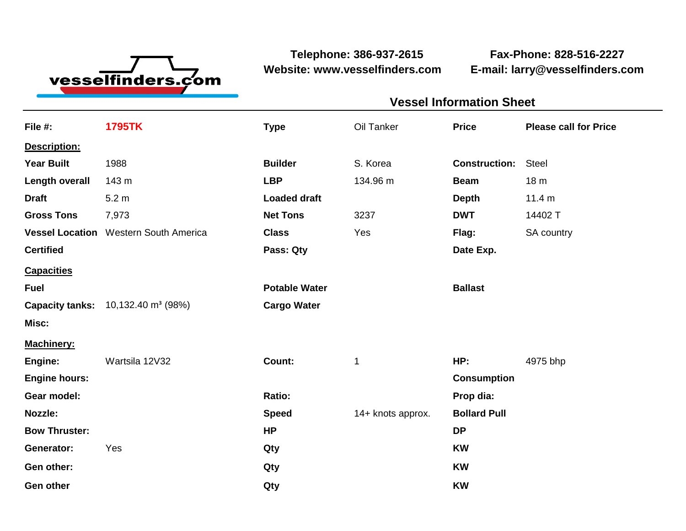

**Website: www.vesselfinders.com E-mail: larry@vesselfinders.com**

**Telephone: 386-937-2615 Fax-Phone: 828-516-2227**

| <b>Vessel Information Sheet</b>        |  |
|----------------------------------------|--|
| Oil Tanker Price Please call for Price |  |
|                                        |  |
| <b>Construction: Steel</b>             |  |
| Beam 18 m                              |  |
| <b>Depth</b> 11.4 m                    |  |
| <b>DWT</b> 14402 T<br>Flag: SA country |  |
| Date Exp.                              |  |
|                                        |  |
| <b>Ballast</b>                         |  |
|                                        |  |
|                                        |  |
| HP: 4975 bhp                           |  |
| <b>Consumption</b><br>Prop dia:        |  |
| Speed 14+ knots approx. Bollard Pull   |  |
|                                        |  |
|                                        |  |
|                                        |  |